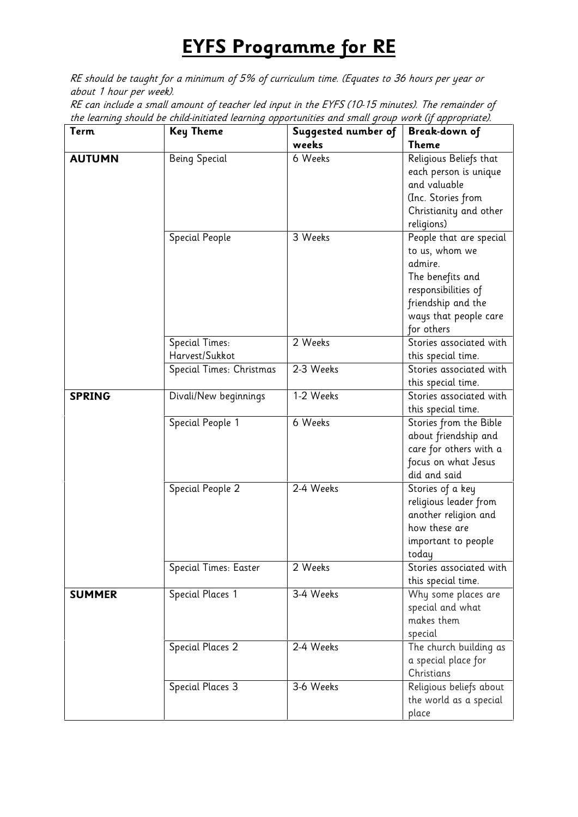## **EYFS Programme for RE**

*RE should be taught for a minimum of 5% of curriculum time. (Equates to 36 hours per year or about 1 hour per week).*

*RE can include a small amount of teacher led input in the EYFS (10-15 minutes). The remainder of the learning should be child-initiated learning opportunities and small group work (if appropriate).*

| Term          | <b>Key Theme</b>         | Suggested number of | <b>Break-down of</b>    |
|---------------|--------------------------|---------------------|-------------------------|
|               |                          | weeks               | <b>Theme</b>            |
| <b>AUTUMN</b> | Being Special            | 6 Weeks             | Religious Beliefs that  |
|               |                          |                     | each person is unique   |
|               |                          |                     | and valuable            |
|               |                          |                     | (Inc. Stories from      |
|               |                          |                     | Christianity and other  |
|               |                          |                     | religions)              |
|               | Special People           | 3 Weeks             | People that are special |
|               |                          |                     | to us, whom we          |
|               |                          |                     | admire.                 |
|               |                          |                     | The benefits and        |
|               |                          |                     | responsibilities of     |
|               |                          |                     | friendship and the      |
|               |                          |                     | ways that people care   |
|               |                          |                     | for others              |
|               | <b>Special Times:</b>    | 2 Weeks             | Stories associated with |
|               | Harvest/Sukkot           |                     | this special time.      |
|               | Special Times: Christmas | 2-3 Weeks           | Stories associated with |
|               |                          |                     | this special time.      |
| <b>SPRING</b> | Divali/New beginnings    | 1-2 Weeks           | Stories associated with |
|               |                          |                     | this special time.      |
|               | Special People 1         | 6 Weeks             | Stories from the Bible  |
|               |                          |                     | about friendship and    |
|               |                          |                     | care for others with a  |
|               |                          |                     | focus on what Jesus     |
|               |                          |                     | did and said            |
|               | Special People 2         | 2-4 Weeks           | Stories of a key        |
|               |                          |                     | religious leader from   |
|               |                          |                     | another religion and    |
|               |                          |                     | how these are           |
|               |                          |                     | important to people     |
|               |                          |                     | today                   |
|               | Special Times: Easter    | 2 Weeks             | Stories associated with |
|               |                          |                     | this special time.      |
| <b>SUMMER</b> | Special Places 1         | 3-4 Weeks           | Why some places are     |
|               |                          |                     | special and what        |
|               |                          |                     | makes them              |
|               |                          |                     | special                 |
|               | Special Places 2         | 2-4 Weeks           | The church building as  |
|               |                          |                     | a special place for     |
|               |                          |                     | Christians              |
|               | Special Places 3         | 3-6 Weeks           | Religious beliefs about |
|               |                          |                     | the world as a special  |
|               |                          |                     | place                   |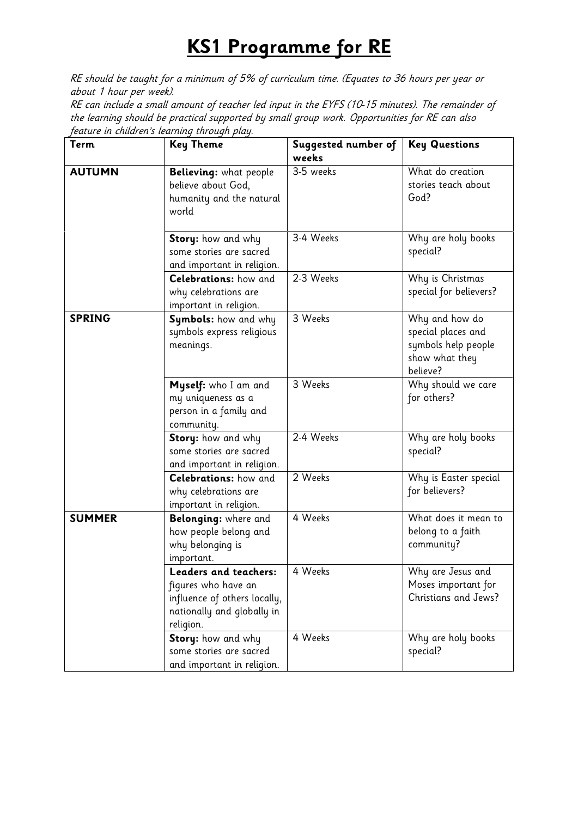## **KS1 Programme for RE**

*RE should be taught for a minimum of 5% of curriculum time. (Equates to 36 hours per year or about 1 hour per week).*

*RE can include a small amount of teacher led input in the EYFS (10-15 minutes). The remainder of the learning should be practical supported by small group work. Opportunities for RE can also feature in children's learning through play.*

| <b>Term</b>   | <b>Key Theme</b>                                                                                                               | Suggested number of<br>weeks | <b>Key Questions</b>                                                                      |
|---------------|--------------------------------------------------------------------------------------------------------------------------------|------------------------------|-------------------------------------------------------------------------------------------|
| <b>AUTUMN</b> | Believing: what people<br>believe about God,<br>humanity and the natural<br>world                                              | 3-5 weeks                    | What do creation<br>stories teach about<br>God?                                           |
|               | Story: how and why<br>some stories are sacred<br>and important in religion.                                                    | 3-4 Weeks                    | Why are holy books<br>special?                                                            |
|               | <b>Celebrations:</b> how and<br>why celebrations are<br>important in religion.                                                 | 2-3 Weeks                    | Why is Christmas<br>special for believers?                                                |
| <b>SPRING</b> | Symbols: how and why<br>symbols express religious<br>meanings.                                                                 | 3 Weeks                      | Why and how do<br>special places and<br>symbols help people<br>show what they<br>believe? |
|               | Myself: who I am and<br>my uniqueness as a<br>person in a family and<br>community.                                             | 3 Weeks                      | Why should we care<br>for others?                                                         |
|               | Story: how and why<br>some stories are sacred<br>and important in religion.                                                    | 2-4 Weeks                    | Why are holy books<br>special?                                                            |
|               | Celebrations: how and<br>why celebrations are<br>important in religion.                                                        | 2 Weeks                      | Why is Easter special<br>for believers?                                                   |
| <b>SUMMER</b> | Belonging: where and<br>how people belong and<br>why belonging is<br>important.                                                | 4 Weeks                      | What does it mean to<br>belong to a faith<br>community?                                   |
|               | <b>Leaders and teachers:</b><br>figures who have an<br>influence of others locally,<br>nationally and globally in<br>religion. | 4 Weeks                      | Why are Jesus and<br>Moses important for<br>Christians and Jews?                          |
|               | Story: how and why<br>some stories are sacred<br>and important in religion.                                                    | 4 Weeks                      | Why are holy books<br>special?                                                            |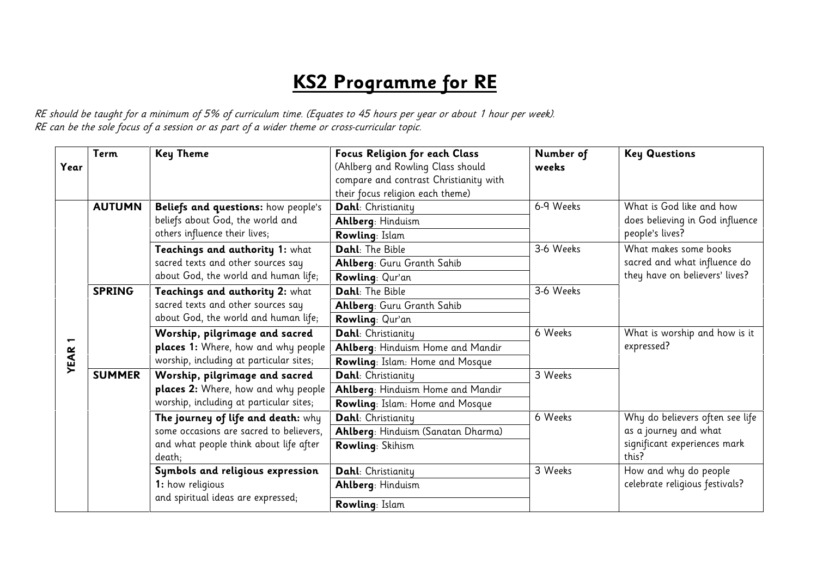## **KS2 Programme for RE**

*RE should be taught for a minimum of 5% of curriculum time. (Equates to 45 hours per year or about 1 hour per week). RE can be the sole focus of a session or as part of a wider theme or cross-curricular topic.*

| Year        | <b>Term</b>   | <b>Key Theme</b>                                                                                         | Focus Religion for each Class<br>(Ahlberg and Rowling Class should<br>compare and contrast Christianity with<br>their focus religion each theme) | Number of<br>weeks    | <b>Key Questions</b>                                                           |
|-------------|---------------|----------------------------------------------------------------------------------------------------------|--------------------------------------------------------------------------------------------------------------------------------------------------|-----------------------|--------------------------------------------------------------------------------|
|             | <b>AUTUMN</b> | Beliefs and questions: how people's<br>beliefs about God, the world and<br>others influence their lives; | Dahl: Christianity                                                                                                                               | 6-9 Weeks             | What is God like and how<br>does believing in God influence<br>people's lives? |
|             |               |                                                                                                          | Ahlberg: Hinduism                                                                                                                                |                       |                                                                                |
|             |               |                                                                                                          | <b>Rowling: Islam</b>                                                                                                                            |                       |                                                                                |
|             |               | Teachings and authority 1: what                                                                          | Dahl: The Bible                                                                                                                                  | 3-6 Weeks             | What makes some books                                                          |
|             |               | sacred texts and other sources say                                                                       | Ahlberg: Guru Granth Sahib                                                                                                                       |                       | sacred and what influence do                                                   |
|             |               | about God, the world and human life;                                                                     | Rowling: Qur'an                                                                                                                                  |                       | they have on believers' lives?                                                 |
| <b>YEAR</b> | <b>SPRING</b> | Teachings and authority 2: what                                                                          | Dahl: The Bible                                                                                                                                  | 3-6 Weeks             |                                                                                |
|             |               | sacred texts and other sources say<br>about God, the world and human life;                               | Ahlberg: Guru Granth Sahib                                                                                                                       |                       |                                                                                |
|             |               |                                                                                                          | Rowling: Qur'an                                                                                                                                  |                       |                                                                                |
|             |               | Worship, pilgrimage and sacred                                                                           | Dahl: Christianity                                                                                                                               | 6 Weeks<br>expressed? | What is worship and how is it                                                  |
|             |               | places 1: Where, how and why people                                                                      | Ahlberg: Hinduism Home and Mandir                                                                                                                |                       |                                                                                |
|             |               | worship, including at particular sites;                                                                  | Rowling: Islam: Home and Mosque                                                                                                                  |                       |                                                                                |
|             | <b>SUMMER</b> | Worship, pilgrimage and sacred                                                                           | Dahl: Christianity                                                                                                                               | 3 Weeks               |                                                                                |
|             |               | places 2: Where, how and why people                                                                      | Ahlberg: Hinduism Home and Mandir                                                                                                                |                       |                                                                                |
|             |               | worship, including at particular sites;                                                                  | Rowling: Islam: Home and Mosque                                                                                                                  |                       |                                                                                |
|             |               | The journey of life and death: why                                                                       | Dahl: Christianity                                                                                                                               | 6 Weeks               | Why do believers often see life                                                |
|             |               | some occasions are sacred to believers,                                                                  | Ahlberg: Hinduism (Sanatan Dharma)                                                                                                               |                       | as a journey and what                                                          |
|             |               | and what people think about life after<br>death;                                                         | Rowling: Skihism                                                                                                                                 | this?                 | significant experiences mark                                                   |
|             |               | Symbols and religious expression                                                                         | Dahl: Christianity                                                                                                                               | 3 Weeks               | How and why do people                                                          |
|             |               | 1: how religious<br>and spiritual ideas are expressed;                                                   | Ahlberg: Hinduism                                                                                                                                |                       | celebrate religious festivals?                                                 |
|             |               |                                                                                                          | <b>Rowling: Islam</b>                                                                                                                            |                       |                                                                                |